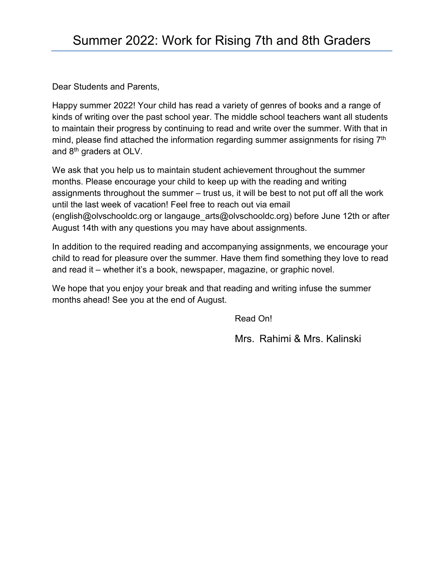Dear Students and Parents,

Happy summer 2022! Your child has read a variety of genres of books and a range of kinds of writing over the past school year. The middle school teachers want all students to maintain their progress by continuing to read and write over the summer. With that in mind, please find attached the information regarding summer assignments for rising 7<sup>th</sup> and 8<sup>th</sup> graders at OLV.

We ask that you help us to maintain student achievement throughout the summer months. Please encourage your child to keep up with the reading and writing assignments throughout the summer – trust us, it will be best to not put off all the work until the last week of vacation! Feel free to reach out via email [\(english@olvschooldc.org](mailto:english@olvschooldc.org) or langauge\_arts@olvschooldc.org) before June 12th or after August 14th with any questions you may have about assignments.

In addition to the required reading and accompanying assignments, we encourage your child to read for pleasure over the summer. Have them find something they love to read and read it – whether it's a book, newspaper, magazine, or graphic novel.

We hope that you enjoy your break and that reading and writing infuse the summer months ahead! See you at the end of August.

Read On!

Mrs. Rahimi & Mrs. Kalinski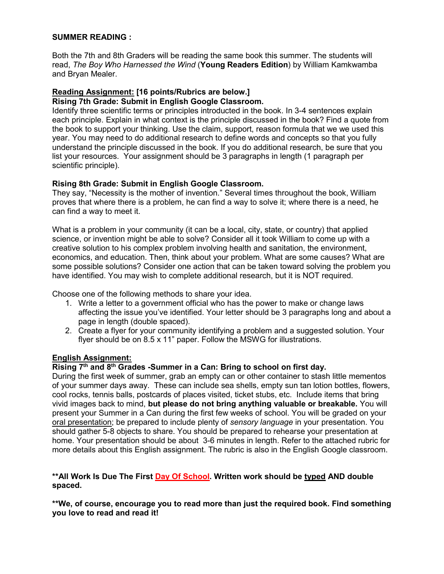#### **SUMMER READING :**

Both the 7th and 8th Graders will be reading the same book this summer. The students will read, *The Boy Who Harnessed the Wind* (**Young Readers Edition**) by William Kamkwamba and Bryan Mealer.

### **Reading Assignment: [16 points/Rubrics are below.]**

#### **Rising 7th Grade: Submit in English Google Classroom.**

Identify three scientific terms or principles introducted in the book. In 3-4 sentences explain each principle. Explain in what context is the principle discussed in the book? Find a quote from the book to support your thinking. Use the claim, support, reason formula that we we used this year. You may need to do additional research to define words and concepts so that you fully understand the principle discussed in the book. If you do additional research, be sure that you list your resources. Your assignment should be 3 paragraphs in length (1 paragraph per scientific principle).

#### **Rising 8th Grade: Submit in English Google Classroom.**

They say, "Necessity is the mother of invention." Several times throughout the book, William proves that where there is a problem, he can find a way to solve it; where there is a need, he can find a way to meet it.

What is a problem in your community (it can be a local, city, state, or country) that applied science, or invention might be able to solve? Consider all it took William to come up with a creative solution to his complex problem involving health and sanitation, the environment, economics, and education. Then, think about your problem. What are some causes? What are some possible solutions? Consider one action that can be taken toward solving the problem you have identified. You may wish to complete additional research, but it is NOT required.

Choose one of the following methods to share your idea.

- 1. Write a letter to a government official who has the power to make or change laws affecting the issue you've identified. Your letter should be 3 paragraphs long and about a page in length (double spaced).
- 2. Create a flyer for your community identifying a problem and a suggested solution. Your flyer should be on 8.5 x 11" paper. Follow the MSWG for illustrations.

#### **English Assignment:**

#### **Rising 7th and 8th Grades -Summer in a Can: Bring to school on first day.**

During the first week of summer, grab an empty can or other container to stash little mementos of your summer days away. These can include sea shells, empty sun tan lotion bottles, flowers, cool rocks, tennis balls, postcards of places visited, ticket stubs, etc. Include items that bring vivid images back to mind, **but please do not bring anything valuable or breakable.** You will present your Summer in a Can during the first few weeks of school. You will be graded on your oral presentation; be prepared to include plenty of *sensory language* in your presentation. You should gather 5-8 objects to share. You should be prepared to rehearse your presentation at home. Your presentation should be about 3-6 minutes in length. Refer to the attached rubric for more details about this English assignment. The rubric is also in the English Google classroom.

#### **\*\*All Work Is Due The First Day Of School. Written work should be typed AND double spaced.**

**\*\*We, of course, encourage you to read more than just the required book. Find something you love to read and read it!**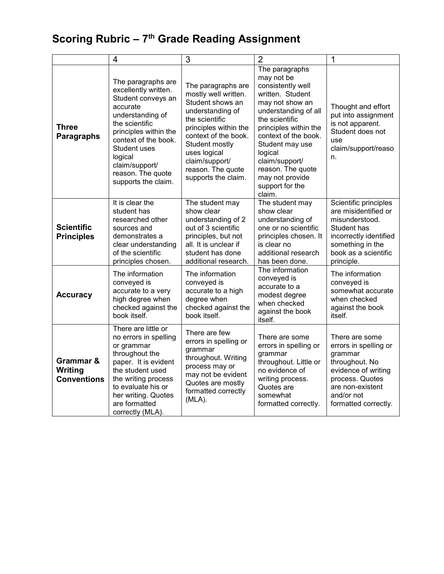# **Scoring Rubric – 7th Grade Reading Assignment**

|                                            | $\overline{4}$                                                                                                                                                                                                                                               | $\overline{3}$                                                                                                                                                                                                                                        | $\overline{2}$                                                                                                                                                                                                                                                                                           | 1                                                                                                                                                                        |
|--------------------------------------------|--------------------------------------------------------------------------------------------------------------------------------------------------------------------------------------------------------------------------------------------------------------|-------------------------------------------------------------------------------------------------------------------------------------------------------------------------------------------------------------------------------------------------------|----------------------------------------------------------------------------------------------------------------------------------------------------------------------------------------------------------------------------------------------------------------------------------------------------------|--------------------------------------------------------------------------------------------------------------------------------------------------------------------------|
| <b>Three</b><br><b>Paragraphs</b>          | The paragraphs are<br>excellently written.<br>Student conveys an<br>accurate<br>understanding of<br>the scientific<br>principles within the<br>context of the book.<br>Student uses<br>logical<br>claim/support/<br>reason. The quote<br>supports the claim. | The paragraphs are<br>mostly well written.<br>Student shows an<br>understanding of<br>the scientific<br>principles within the<br>context of the book.<br>Student mostly<br>uses logical<br>claim/support/<br>reason. The quote<br>supports the claim. | The paragraphs<br>may not be<br>consistently well<br>written. Student<br>may not show an<br>understanding of all<br>the scientific<br>principles within the<br>context of the book.<br>Student may use<br>logical<br>claim/support/<br>reason. The quote<br>may not provide<br>support for the<br>claim. | Thought and effort<br>put into assignment<br>is not apparent.<br>Student does not<br>use<br>claim/support/reaso<br>n.                                                    |
| <b>Scientific</b><br><b>Principles</b>     | It is clear the<br>student has<br>researched other<br>sources and<br>demonstrates a<br>clear understanding<br>of the scientific<br>principles chosen.                                                                                                        | The student may<br>show clear<br>understanding of 2<br>out of 3 scientific<br>principles, but not<br>all. It is unclear if<br>student has done<br>additional research.                                                                                | The student may<br>show clear<br>understanding of<br>one or no scientific<br>principles chosen. It<br>is clear no<br>additional research<br>has been done.                                                                                                                                               | Scientific principles<br>are misidentified or<br>misunderstood.<br>Student has<br>incorrectly identified<br>something in the<br>book as a scientific<br>principle.       |
| <b>Accuracy</b>                            | The information<br>conveyed is<br>accurate to a very<br>high degree when<br>checked against the<br>book itself.                                                                                                                                              | The information<br>conveyed is<br>accurate to a high<br>degree when<br>checked against the<br>book itself.                                                                                                                                            | The information<br>conveyed is<br>accurate to a<br>modest degree<br>when checked<br>against the book<br>itself.                                                                                                                                                                                          | The information<br>conveyed is<br>somewhat accurate<br>when checked<br>against the book<br>itself.                                                                       |
| Grammar &<br>Writing<br><b>Conventions</b> | There are little or<br>no errors in spelling<br>or grammar<br>throughout the<br>paper. It is evident<br>the student used<br>the writing process<br>to evaluate his or<br>her writing. Quotes<br>are formatted<br>correctly (MLA).                            | There are few<br>errors in spelling or<br>grammar<br>throughout. Writing<br>process may or<br>may not be evident<br>Quotes are mostly<br>formatted correctly<br>(MLA).                                                                                | There are some<br>errors in spelling or<br>grammar<br>throughout. Little or<br>no evidence of<br>writing process.<br>Quotes are<br>somewhat<br>formatted correctly.                                                                                                                                      | There are some<br>errors in spelling or<br>grammar<br>throughout. No<br>evidence of writing<br>process. Quotes<br>are non-existent<br>and/or not<br>formatted correctly. |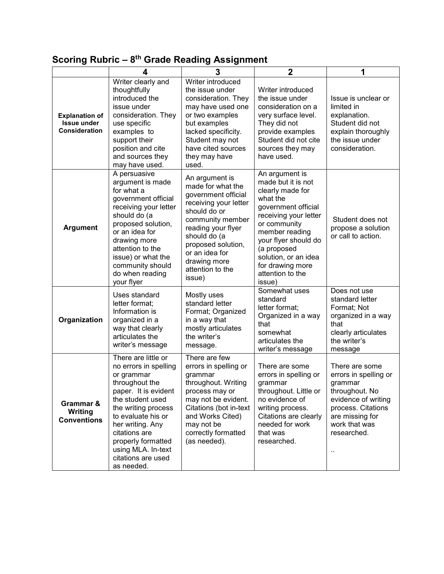### **Scoring Rubric – 8th Grade Reading Assignment**

|                                                                     | 4                                                                                                                                                                                                                                                                                          | 3                                                                                                                                                                                                                                                   | $\mathbf 2$                                                                                                                                                                                                                                                             | 1                                                                                                                                                                                            |
|---------------------------------------------------------------------|--------------------------------------------------------------------------------------------------------------------------------------------------------------------------------------------------------------------------------------------------------------------------------------------|-----------------------------------------------------------------------------------------------------------------------------------------------------------------------------------------------------------------------------------------------------|-------------------------------------------------------------------------------------------------------------------------------------------------------------------------------------------------------------------------------------------------------------------------|----------------------------------------------------------------------------------------------------------------------------------------------------------------------------------------------|
| <b>Explanation of</b><br><b>Issue under</b><br><b>Consideration</b> | Writer clearly and<br>thoughtfully<br>introduced the<br>issue under<br>consideration. They<br>use specific<br>examples to<br>support their<br>position and cite<br>and sources they<br>may have used.                                                                                      | Writer introduced<br>the issue under<br>consideration. They<br>may have used one<br>or two examples<br>but examples<br>lacked specificity.<br>Student may not<br>have cited sources<br>they may have<br>used.                                       | Writer introduced<br>the issue under<br>consideration on a<br>very surface level.<br>They did not<br>provide examples<br>Student did not cite<br>sources they may<br>have used.                                                                                         | Issue is unclear or<br>limited in<br>explanation.<br>Student did not<br>explain thoroughly<br>the issue under<br>consideration.                                                              |
| <b>Argument</b>                                                     | A persuasive<br>argument is made<br>for what a<br>government official<br>receiving your letter<br>should do (a<br>proposed solution,<br>or an idea for<br>drawing more<br>attention to the<br>issue) or what the<br>community should<br>do when reading<br>your flyer                      | An argument is<br>made for what the<br>government official<br>receiving your letter<br>should do or<br>community member<br>reading your flyer<br>should do (a<br>proposed solution,<br>or an idea for<br>drawing more<br>attention to the<br>issue) | An argument is<br>made but it is not<br>clearly made for<br>what the<br>government official<br>receiving your letter<br>or community<br>member reading<br>your flyer should do<br>(a proposed<br>solution, or an idea<br>for drawing more<br>attention to the<br>issue) | Student does not<br>propose a solution<br>or call to action.                                                                                                                                 |
| Organization                                                        | Uses standard<br>letter format;<br>Information is<br>organized in a<br>way that clearly<br>articulates the<br>writer's message                                                                                                                                                             | Mostly uses<br>standard letter<br>Format; Organized<br>in a way that<br>mostly articulates<br>the writer's<br>message.                                                                                                                              | Somewhat uses<br>standard<br>letter format;<br>Organized in a way<br>that<br>somewhat<br>articulates the<br>writer's message                                                                                                                                            | Does not use<br>standard letter<br>Format; Not<br>organized in a way<br>that<br>clearly articulates<br>the writer's<br>message                                                               |
| Grammar &<br>Writing<br><b>Conventions</b>                          | There are little or<br>no errors in spelling<br>or grammar<br>throughout the<br>paper. It is evident<br>the student used<br>the writing process<br>to evaluate his or<br>her writing. Any<br>citations are<br>properly formatted<br>using MLA. In-text<br>citations are used<br>as needed. | There are few<br>errors in spelling or<br>grammar<br>throughout. Writing<br>process may or<br>may not be evident.<br>Citations (bot in-text<br>and Works Cited)<br>may not be<br>correctly formatted<br>(as needed).                                | There are some<br>errors in spelling or<br>grammar<br>throughout. Little or<br>no evidence of<br>writing process.<br>Citations are clearly<br>needed for work<br>that was<br>researched.                                                                                | There are some<br>errors in spelling or<br>grammar<br>throughout. No<br>evidence of writing<br>process. Citations<br>are missing for<br>work that was<br>researched.<br>$\ddot{\phantom{0}}$ |